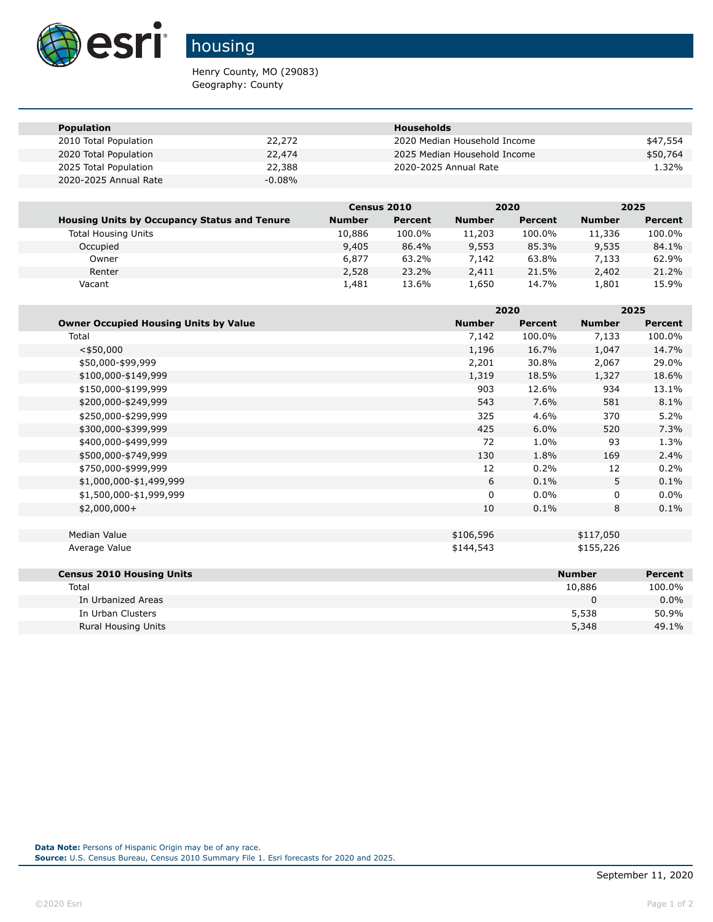

## housing

Henry County, MO (29083) Geography: County

| <b>Population</b>     |           | <b>Households</b>            |          |
|-----------------------|-----------|------------------------------|----------|
| 2010 Total Population | 22,272    | 2020 Median Household Income | \$47,554 |
| 2020 Total Population | 22,474    | 2025 Median Household Income | \$50,764 |
| 2025 Total Population | 22,388    | 2020-2025 Annual Rate        | 1.32%    |
| 2020-2025 Annual Rate | $-0.08\%$ |                              |          |

|                                                     | Census 2010   |         |               | 2020    |               | 2025    |
|-----------------------------------------------------|---------------|---------|---------------|---------|---------------|---------|
| <b>Housing Units by Occupancy Status and Tenure</b> | <b>Number</b> | Percent | <b>Number</b> | Percent | <b>Number</b> | Percent |
| <b>Total Housing Units</b>                          | 10,886        | 100.0%  | 11,203        | 100.0%  | 11,336        | 100.0%  |
| Occupied                                            | 9,405         | 86.4%   | 9,553         | 85.3%   | 9,535         | 84.1%   |
| Owner                                               | 6,877         | 63.2%   | 7.142         | 63.8%   | 7.133         | 62.9%   |
| Renter                                              | 2,528         | 23.2%   | 2,411         | 21.5%   | 2,402         | 21.2%   |
| Vacant                                              | 1,481         | 13.6%   | 1,650         | 14.7%   | 1,801         | 15.9%   |

|                                              |               | 2020    |               | 2025           |  |
|----------------------------------------------|---------------|---------|---------------|----------------|--|
| <b>Owner Occupied Housing Units by Value</b> | <b>Number</b> | Percent | <b>Number</b> | <b>Percent</b> |  |
| Total                                        | 7,142         | 100.0%  | 7,133         | 100.0%         |  |
| $<$ \$50,000                                 | 1,196         | 16.7%   | 1,047         | 14.7%          |  |
| \$50,000-\$99,999                            | 2,201         | 30.8%   | 2,067         | 29.0%          |  |
| \$100,000-\$149,999                          | 1,319         | 18.5%   | 1,327         | 18.6%          |  |
| \$150,000-\$199,999                          | 903           | 12.6%   | 934           | 13.1%          |  |
| \$200,000-\$249,999                          | 543           | 7.6%    | 581           | 8.1%           |  |
| \$250,000-\$299,999                          | 325           | 4.6%    | 370           | 5.2%           |  |
| \$300,000-\$399,999                          | 425           | 6.0%    | 520           | 7.3%           |  |
| \$400,000-\$499,999                          | 72            | 1.0%    | 93            | 1.3%           |  |
| \$500,000-\$749,999                          | 130           | 1.8%    | 169           | 2.4%           |  |
| \$750,000-\$999,999                          | 12            | 0.2%    | 12            | 0.2%           |  |
| \$1,000,000-\$1,499,999                      | 6             | 0.1%    | 5.            | 0.1%           |  |
| \$1,500,000-\$1,999,999                      | 0             | 0.0%    | 0             | $0.0\%$        |  |
| $$2,000,000+$                                | 10            | 0.1%    | 8             | 0.1%           |  |
|                                              |               |         |               |                |  |
| Median Value                                 | \$106,596     |         | \$117,050     |                |  |
| Average Value                                | \$144,543     |         | \$155,226     |                |  |
|                                              |               |         |               |                |  |
| <b>Census 2010 Housing Units</b>             |               |         | <b>Number</b> | <b>Percent</b> |  |
| Total                                        |               |         | 10,886        | 100.0%         |  |
| In Urbanized Areas                           |               |         | $\mathbf{0}$  | $0.0\%$        |  |
| In Urban Clusters                            |               |         | 5,538         | 50.9%          |  |
| <b>Rural Housing Units</b>                   |               |         | 5,348         | 49.1%          |  |